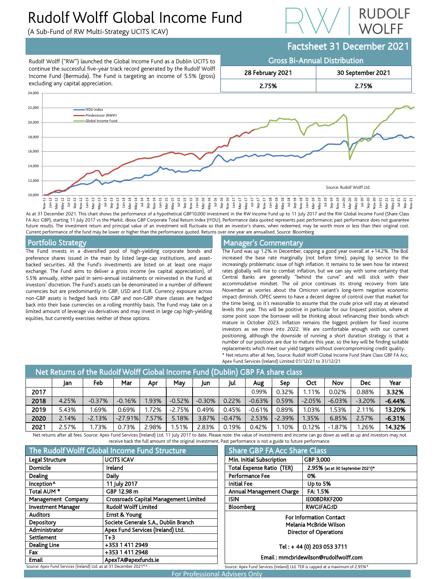# Rudolf Wolff Global Income Fund

(A Sub-Fund of RW Multi-Strategy UCITS ICAV)





FA Acc GBP), starting 11 July 2017 vs the Markit. iBoxx GBP Corporate Total Return Index (IYDU). Performance data quoted represents past performance; past performance does not guarantee future results. The investment return and principal value of an investment will fluctuate so that an investor's shares, when redeemed, may be worth more or less than their original cost. Current performance of the fund may be lower or higher than the performance quoted. Returns over one year are annualised. Source: Bloomberg

## Portfolio Strategy

The Fund invests in a diversified pool of high-yielding corporate bonds and preference shares issued in the main by listed large-cap institutions, and assetbacked securities. All the Fund's investments are listed on at least one major exchange. The Fund aims to deliver a gross income (ex capital appreciation), of 5.5% annually, either paid in semi-annual instalments or reinvested in the Fund at investors' discretion. The Fund's assets can be denominated in a number of different currencies but are predominantly in GBP, USD and EUR. Currency exposure across non-GBP assets is hedged back into GBP and non-GBP share classes are hedged back into their base currencies on a rolling monthly basis. The Fund may take on a limited amount of leverage via derivatives and may invest in large cap high-yielding equities, but currently exercises neither of these options.

## Manager's Commentary

The Fund was up 1.2% in December, capping a good year overall at +14.2%. The BoE increased the base rate marginally (not before time), paying lip service to the increasingly problematic issue of high inflation. It remains to be seen how far interest rates globally will rise to combat inflation, but we can say with some certainty that Central Banks are generally "behind the curve" and will stick with their accommodative mindset. The oil price continues its strong recovery from late November as worries about the Omicron variant's long-term negative economic impact diminish. OPEC seems to have a decent degree of control over that market for the time being, so it's reasonable to assume that the crude price will stay at elevated levels this year. This will be positive in particular for our Enquest position, where at some point soon the borrower will be thinking about refinancing their bonds which mature in October 2023. Inflation remains the biggest problem for fixed income investors as we move into 2022. We are comfortable enough with our current positioning, although the downside of running a short duration strategy is that a number of our positions are due to mature this year, so the key will be finding suitable replacements which meet our yield targets without overcompromising credit quality. \* Net returns after all fees, Source: Rudolf Wolff Global Income Fund Share Class GBP FA Acc, Apex Fund Services (Ireland) Limited 01/12/21 to 31/12/21

| Net Returns of the Rudolf Wolff Global Income Fund (Dublin) GBP FA share class |       |          |           |       |          |          |          |          |          |          |          |            |          |
|--------------------------------------------------------------------------------|-------|----------|-----------|-------|----------|----------|----------|----------|----------|----------|----------|------------|----------|
|                                                                                | Jan   | Feb      | Mar       | Apr   | May      | Jun      | Jul      | Aug      | Sep      | Oct      | Nov      | <b>Dec</b> | Year     |
| 2017                                                                           |       |          |           |       |          |          |          | 0.99%    | 0.32%    | 1.11%    | 0.02%    | 0.88%      | 3.32%    |
| 2018                                                                           | 4.25% | $-0.37%$ | $-0.16%$  | .93%  | $-0.52%$ | $-0.30%$ | 0.22%    | $-0.63%$ | 0.59%    | $-2.05%$ | $-6.03%$ | $-3.20%$   | $-6.44%$ |
| 2019                                                                           | 5.43% | 1.69%    | 0.69%     | .72%  | $-2.75%$ | 0.49%    | 0.45%    | $-0.61%$ | 0.89%    | 1.03%    | 1.53%    | 2.11%      | 13.20%   |
| 2020                                                                           | 2.14% | $-2.13%$ | $-27.91%$ | 7.57% | 5.18%    | 3.87%    | $-0.47%$ | 2.53%    | $-2.39%$ | 1.35%    | 6.85%    | 2.57%      | $-6.31%$ |
| 2021                                                                           | 2.57% | 1.73%    | 0.73%     | 2.98% | 51%،     | 2.83%    | 0.19%    | 0.42%    | 1.10%    | 0.12%    | $-1.87%$ | 1.26%      | 14.32%   |

Net returns after all fees. Source: Apex Fund Services (Ireland) Ltd. 11 July 2017 to date. Please note: the value of investments and income can go down as well as up and investors may not receive back the full amount of the original investment. Past

| The Rudolf Wolff Global Income Fund Structure                      |                                              |  |  |  |  |
|--------------------------------------------------------------------|----------------------------------------------|--|--|--|--|
| Legal Structure                                                    | <b>UCITS ICAV</b>                            |  |  |  |  |
| Domicile                                                           | Ireland                                      |  |  |  |  |
| Dealing                                                            | Daily                                        |  |  |  |  |
| Inception <sup>^</sup>                                             | 11 July 2017                                 |  |  |  |  |
| Total AUM <sup>*</sup>                                             | GBP 12.98 m                                  |  |  |  |  |
| Management Company                                                 | <b>Crossroads Capital Management Limited</b> |  |  |  |  |
| <b>Investment Manager</b>                                          | <b>Rudolf Wolff Limited</b>                  |  |  |  |  |
| <b>Auditors</b>                                                    | Ernst & Young                                |  |  |  |  |
| Depository                                                         | Societe Generale S.A., Dublin Branch         |  |  |  |  |
| Administrator                                                      | Apex Fund Services (Ireland) Ltd.            |  |  |  |  |
| Settlement                                                         | $T+3$                                        |  |  |  |  |
| <b>Dealing Line</b>                                                | +353 1 411 2949                              |  |  |  |  |
| Fax                                                                | +353 1 411 2948                              |  |  |  |  |
| Email                                                              | ApexTA@apexfunds.ie                          |  |  |  |  |
| Source: Apex Fund Services (Ireland) Ltd. as at 31 December 2021*^ |                                              |  |  |  |  |

| st performance is not a guide to future performance.                                    |                                  |  |  |  |  |  |
|-----------------------------------------------------------------------------------------|----------------------------------|--|--|--|--|--|
| <b>Share GBP FA Acc Share Class</b>                                                     |                                  |  |  |  |  |  |
| Min. Initial Subscription<br>GBP 3,000                                                  |                                  |  |  |  |  |  |
| <b>Total Expense Ratio (TER)</b>                                                        | 2.95% (as at 30 September 2021)* |  |  |  |  |  |
| <b>Performance Fee</b>                                                                  | 0%                               |  |  |  |  |  |
| <b>Initial Fee</b>                                                                      | Up to 5%                         |  |  |  |  |  |
| <b>Annual Management Charge</b>                                                         | FA: 1.5%                         |  |  |  |  |  |
| <b>ISIN</b>                                                                             | IEOOBDRKF200                     |  |  |  |  |  |
| <b>Bloomberg</b>                                                                        | <b>RWGIFAG:ID</b>                |  |  |  |  |  |
| <b>For Information Contact</b>                                                          |                                  |  |  |  |  |  |
| <b>Melania McBride Wilson</b>                                                           |                                  |  |  |  |  |  |
| <b>Director of Operations</b>                                                           |                                  |  |  |  |  |  |
|                                                                                         |                                  |  |  |  |  |  |
| Tel: +44 (0) 203 053 3711                                                               |                                  |  |  |  |  |  |
| Email: mmcbridewilson@rudolfwolff.com                                                   |                                  |  |  |  |  |  |
| Source: Apex Fund Services (Ireland) Ltd. TER is capped at a maximum of 2.95% $^{\ast}$ |                                  |  |  |  |  |  |